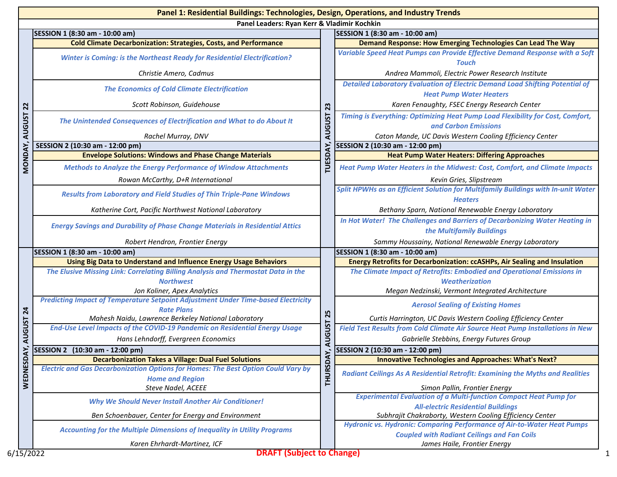|                                 | Panel 1: Residential Buildings: Technologies, Design, Operations, and Industry Trends                              |                     |                                                                                                                               |  |
|---------------------------------|--------------------------------------------------------------------------------------------------------------------|---------------------|-------------------------------------------------------------------------------------------------------------------------------|--|
|                                 | Panel Leaders: Ryan Kerr & Vladimir Kochkin                                                                        |                     |                                                                                                                               |  |
|                                 | SESSION 1 (8:30 am - 10:00 am)                                                                                     |                     | SESSION 1 (8:30 am - 10:00 am)                                                                                                |  |
| 22<br><b>AUGUST</b>             | <b>Cold Climate Decarbonization: Strategies, Costs, and Performance</b>                                            | 23<br><b>AUGUST</b> | <b>Demand Response: How Emerging Technologies Can Lead The Way</b>                                                            |  |
|                                 | <b>Winter is Coming: is the Northeast Ready for Residential Electrification?</b>                                   |                     | Variable Speed Heat Pumps can Provide Effective Demand Response with a Soft<br>Touch                                          |  |
|                                 | Christie Amero, Cadmus                                                                                             |                     | Andrea Mammoli, Electric Power Research Institute                                                                             |  |
|                                 | <b>The Economics of Cold Climate Electrification</b>                                                               |                     | <b>Detailed Laboratory Evaluation of Electric Demand Load Shifting Potential of</b><br><b>Heat Pump Water Heaters</b>         |  |
|                                 | Scott Robinson, Guidehouse                                                                                         |                     | Karen Fenaughty, FSEC Energy Research Center                                                                                  |  |
|                                 | The Unintended Consequences of Electrification and What to do About It                                             |                     | Timing is Everything: Optimizing Heat Pump Load Flexibility for Cost, Comfort,<br>and Carbon Emissions                        |  |
|                                 | Rachel Murray, DNV                                                                                                 |                     | Caton Mande, UC Davis Western Cooling Efficiency Center                                                                       |  |
|                                 | SESSION 2 (10:30 am - 12:00 pm)                                                                                    |                     | SESSION 2 (10:30 am - 12:00 pm)                                                                                               |  |
|                                 | <b>Envelope Solutions: Windows and Phase Change Materials</b>                                                      |                     | <b>Heat Pump Water Heaters: Differing Approaches</b>                                                                          |  |
| MONDAY,                         | <b>Methods to Analyze the Energy Performance of Window Attachments</b>                                             | <b>TUESDAY</b>      | Heat Pump Water Heaters in the Midwest: Cost, Comfort, and Climate Impacts                                                    |  |
|                                 | Rowan McCarthy, D+R International                                                                                  |                     | Kevin Gries, Slipstream                                                                                                       |  |
|                                 | <b>Results from Laboratory and Field Studies of Thin Triple-Pane Windows</b>                                       |                     | Split HPWHs as an Efficient Solution for Multifamily Buildings with In-unit Water<br><b>Heaters</b>                           |  |
|                                 | Katherine Cort, Pacific Northwest National Laboratory                                                              |                     | Bethany Sparn, National Renewable Energy Laboratory                                                                           |  |
|                                 | <b>Energy Savings and Durability of Phase Change Materials in Residential Attics</b>                               |                     | In Hot Water! The Challenges and Barriers of Decarbonizing Water Heating in<br>the Multifamily Buildings                      |  |
|                                 | Robert Hendron, Frontier Energy                                                                                    |                     | Sammy Houssainy, National Renewable Energy Laboratory                                                                         |  |
|                                 | SESSION 1 (8:30 am - 10:00 am)                                                                                     |                     | SESSION 1 (8:30 am - 10:00 am)                                                                                                |  |
|                                 | Using Big Data to Understand and Influence Energy Usage Behaviors                                                  |                     | <b>Energy Retrofits for Decarbonization: ccASHPs, Air Sealing and Insulation</b>                                              |  |
|                                 | The Elusive Missing Link: Correlating Billing Analysis and Thermostat Data in the                                  |                     | The Climate Impact of Retrofits: Embodied and Operational Emissions in                                                        |  |
|                                 | <b>Northwest</b>                                                                                                   |                     | <b>Weatherization</b>                                                                                                         |  |
| $\overline{a}$<br><b>AUGUST</b> | Jon Koliner, Apex Analytics                                                                                        | 25<br><b>AUGUST</b> | Megan Nedzinski, Vermont Integrated Architecture                                                                              |  |
|                                 | <b>Predicting Impact of Temperature Setpoint Adjustment Under Time-based Electricity</b><br><b>Rate Plans</b>      |                     | <b>Aerosol Sealing of Existing Homes</b>                                                                                      |  |
|                                 | Mahesh Naidu, Lawrence Berkeley National Laboratory                                                                |                     | Curtis Harrington, UC Davis Western Cooling Efficiency Center                                                                 |  |
|                                 | End-Use Level Impacts of the COVID-19 Pandemic on Residential Energy Usage                                         |                     | Field Test Results from Cold Climate Air Source Heat Pump Installations in New                                                |  |
|                                 | Hans Lehndorff, Evergreen Economics                                                                                |                     | Gabrielle Stebbins, Energy Futures Group                                                                                      |  |
| ⋛                               | SESSION 2 (10:30 am - 12:00 pm)                                                                                    | ≍                   | SESSION 2 (10:30 am - 12:00 pm)                                                                                               |  |
|                                 | <b>Decarbonization Takes a Village: Dual Fuel Solutions</b>                                                        |                     | <b>Innovative Technologies and Approaches: What's Next?</b>                                                                   |  |
| WEDNESD                         | <b>Electric and Gas Decarbonization Options for Homes: The Best Option Could Vary by</b><br><b>Home and Region</b> | <b>THURSD</b>       | <b>Radiant Ceilings As A Residential Retrofit: Examining the Myths and Realities</b>                                          |  |
|                                 | Steve Nadel, ACEEE                                                                                                 |                     | Simon Pallin, Frontier Energy                                                                                                 |  |
|                                 | <b>Why We Should Never Install Another Air Conditioner!</b>                                                        |                     | <b>Experimental Evaluation of a Multi-function Compact Heat Pump for</b>                                                      |  |
|                                 |                                                                                                                    |                     | <b>All-electric Residential Buildings</b>                                                                                     |  |
|                                 | Ben Schoenbauer, Center for Energy and Environment                                                                 |                     | Subhrajit Chakraborty, Western Cooling Efficiency Center                                                                      |  |
|                                 | <b>Accounting for the Multiple Dimensions of Inequality in Utility Programs</b>                                    |                     | Hydronic vs. Hydronic: Comparing Performance of Air-to-Water Heat Pumps<br><b>Coupled with Radiant Ceilings and Fan Coils</b> |  |
|                                 | Karen Ehrhardt-Martinez, ICF                                                                                       |                     | James Haile, Frontier Energy                                                                                                  |  |
| 6/15/2022                       | <b>DRAFT (Subject to Change)</b>                                                                                   |                     |                                                                                                                               |  |